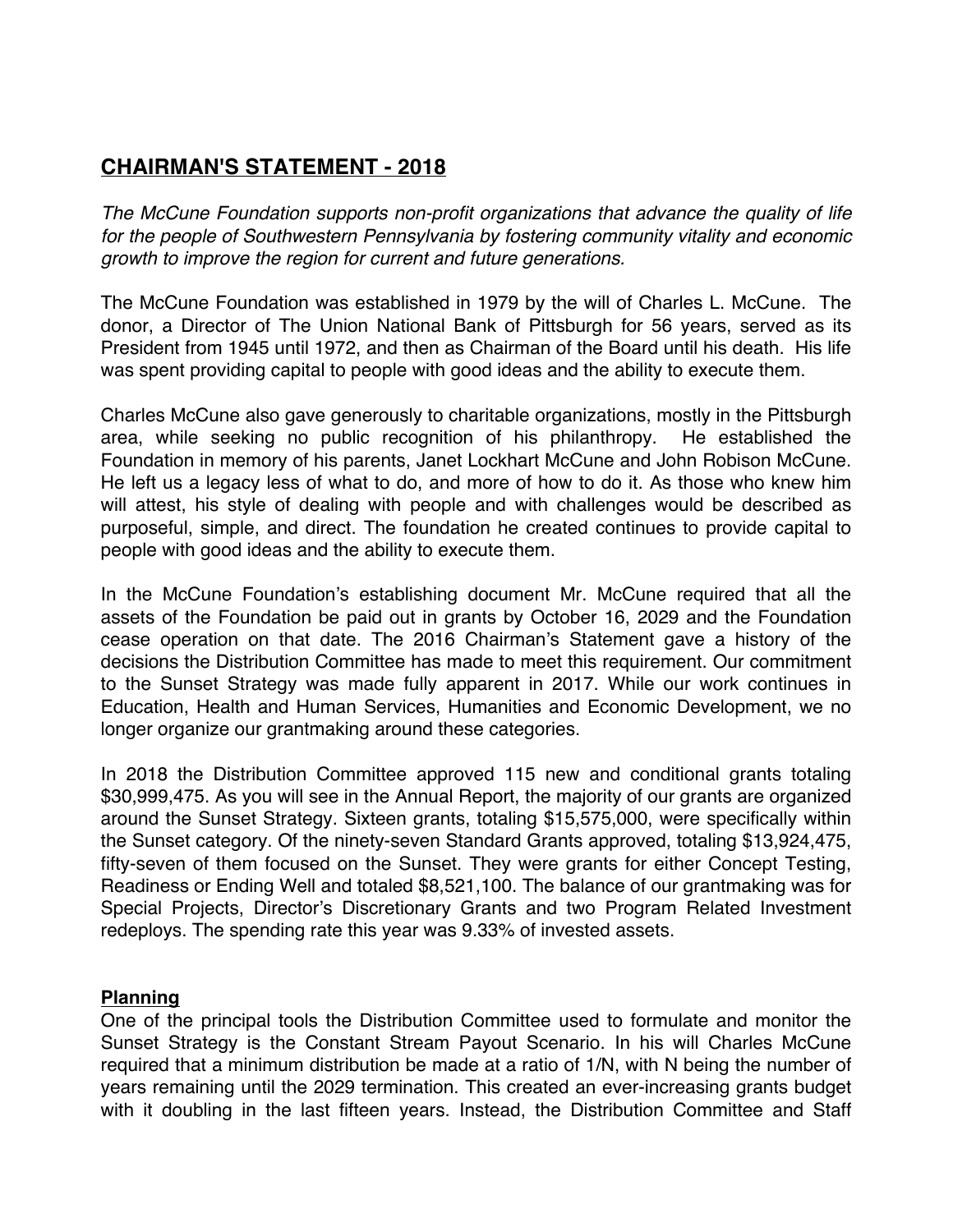## **CHAIRMAN'S STATEMENT - 2018**

*The McCune Foundation supports non-profit organizations that advance the quality of life for the people of Southwestern Pennsylvania by fostering community vitality and economic growth to improve the region for current and future generations.*

The McCune Foundation was established in 1979 by the will of Charles L. McCune. The donor, a Director of The Union National Bank of Pittsburgh for 56 years, served as its President from 1945 until 1972, and then as Chairman of the Board until his death. His life was spent providing capital to people with good ideas and the ability to execute them.

Charles McCune also gave generously to charitable organizations, mostly in the Pittsburgh area, while seeking no public recognition of his philanthropy. He established the Foundation in memory of his parents, Janet Lockhart McCune and John Robison McCune. He left us a legacy less of what to do, and more of how to do it. As those who knew him will attest, his style of dealing with people and with challenges would be described as purposeful, simple, and direct. The foundation he created continues to provide capital to people with good ideas and the ability to execute them.

In the McCune Foundation's establishing document Mr. McCune required that all the assets of the Foundation be paid out in grants by October 16, 2029 and the Foundation cease operation on that date. The 2016 Chairman's Statement gave a history of the decisions the Distribution Committee has made to meet this requirement. Our commitment to the Sunset Strategy was made fully apparent in 2017. While our work continues in Education, Health and Human Services, Humanities and Economic Development, we no longer organize our grantmaking around these categories.

In 2018 the Distribution Committee approved 115 new and conditional grants totaling \$30,999,475. As you will see in the Annual Report, the majority of our grants are organized around the Sunset Strategy. Sixteen grants, totaling \$15,575,000, were specifically within the Sunset category. Of the ninety-seven Standard Grants approved, totaling \$13,924,475, fifty-seven of them focused on the Sunset. They were grants for either Concept Testing, Readiness or Ending Well and totaled \$8,521,100. The balance of our grantmaking was for Special Projects, Director's Discretionary Grants and two Program Related Investment redeploys. The spending rate this year was 9.33% of invested assets.

## **Planning**

One of the principal tools the Distribution Committee used to formulate and monitor the Sunset Strategy is the Constant Stream Payout Scenario. In his will Charles McCune required that a minimum distribution be made at a ratio of 1/N, with N being the number of years remaining until the 2029 termination. This created an ever-increasing grants budget with it doubling in the last fifteen years. Instead, the Distribution Committee and Staff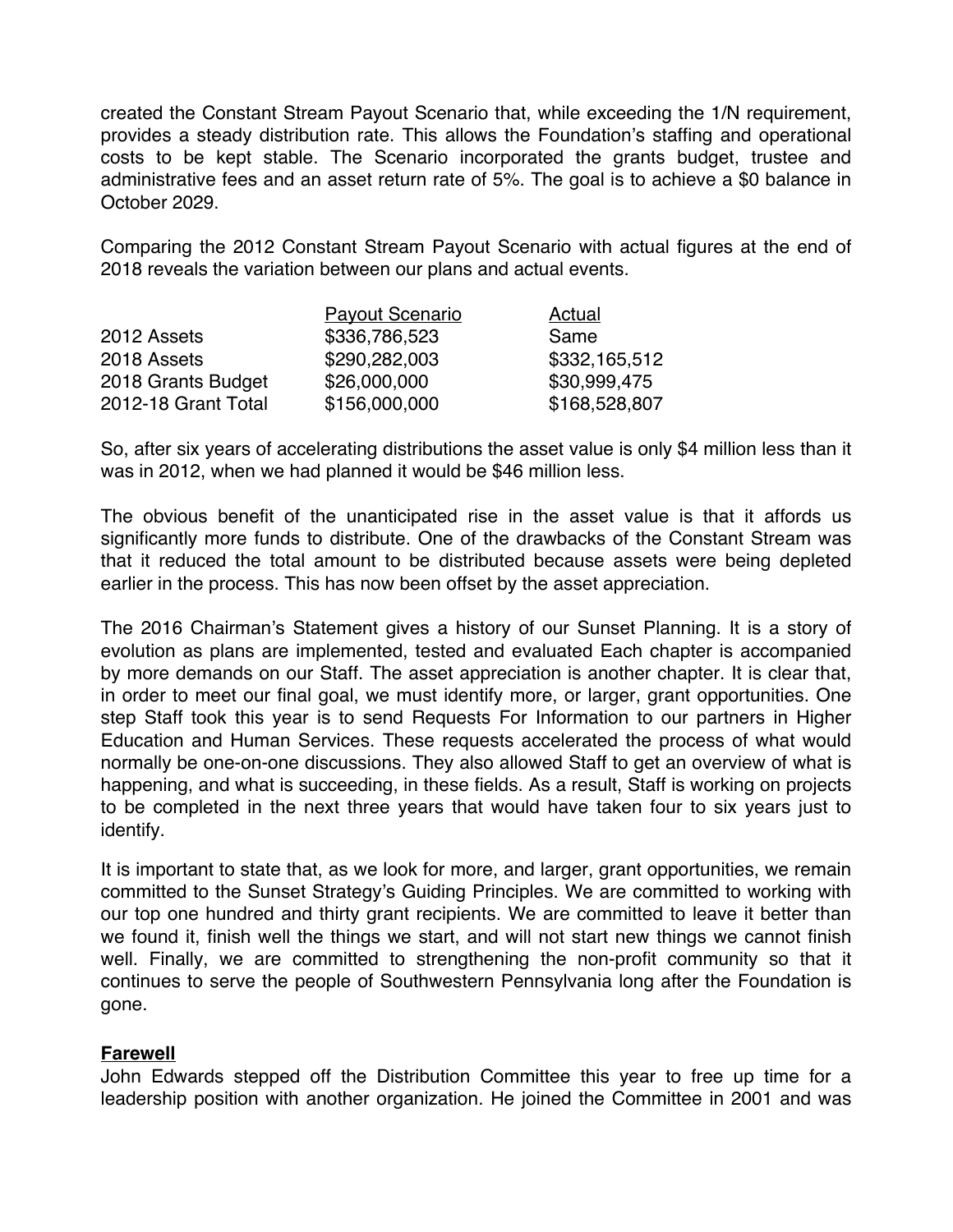created the Constant Stream Payout Scenario that, while exceeding the 1/N requirement, provides a steady distribution rate. This allows the Foundation's staffing and operational costs to be kept stable. The Scenario incorporated the grants budget, trustee and administrative fees and an asset return rate of 5%. The goal is to achieve a \$0 balance in October 2029.

Comparing the 2012 Constant Stream Payout Scenario with actual figures at the end of 2018 reveals the variation between our plans and actual events.

|                     | <b>Payout Scenario</b> | Actual        |
|---------------------|------------------------|---------------|
| 2012 Assets         | \$336,786,523          | Same          |
| 2018 Assets         | \$290,282,003          | \$332,165,512 |
| 2018 Grants Budget  | \$26,000,000           | \$30,999,475  |
| 2012-18 Grant Total | \$156,000,000          | \$168,528,807 |

So, after six years of accelerating distributions the asset value is only \$4 million less than it was in 2012, when we had planned it would be \$46 million less.

The obvious benefit of the unanticipated rise in the asset value is that it affords us significantly more funds to distribute. One of the drawbacks of the Constant Stream was that it reduced the total amount to be distributed because assets were being depleted earlier in the process. This has now been offset by the asset appreciation.

The 2016 Chairman's Statement gives a history of our Sunset Planning. It is a story of evolution as plans are implemented, tested and evaluated Each chapter is accompanied by more demands on our Staff. The asset appreciation is another chapter. It is clear that, in order to meet our final goal, we must identify more, or larger, grant opportunities. One step Staff took this year is to send Requests For Information to our partners in Higher Education and Human Services. These requests accelerated the process of what would normally be one-on-one discussions. They also allowed Staff to get an overview of what is happening, and what is succeeding, in these fields. As a result, Staff is working on projects to be completed in the next three years that would have taken four to six years just to identify.

It is important to state that, as we look for more, and larger, grant opportunities, we remain committed to the Sunset Strategy's Guiding Principles. We are committed to working with our top one hundred and thirty grant recipients. We are committed to leave it better than we found it, finish well the things we start, and will not start new things we cannot finish well. Finally, we are committed to strengthening the non-profit community so that it continues to serve the people of Southwestern Pennsylvania long after the Foundation is gone.

## **Farewell**

John Edwards stepped off the Distribution Committee this year to free up time for a leadership position with another organization. He joined the Committee in 2001 and was